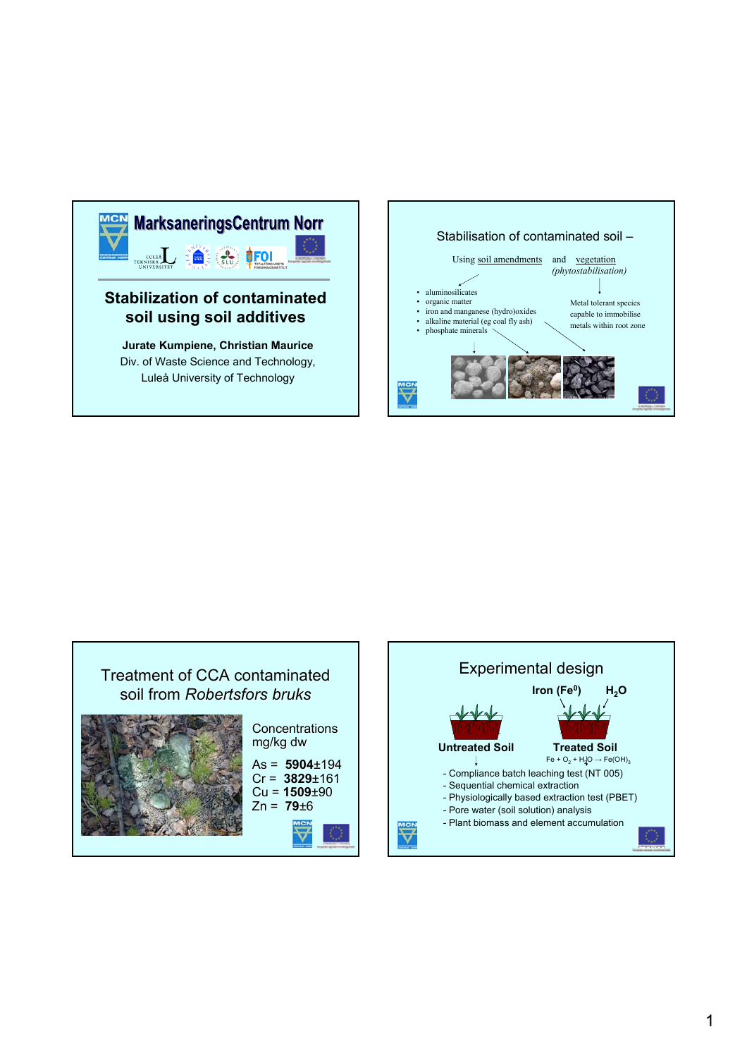







Cr = **3829**±161 Cu = **1509**±90 Zn = **79**±6



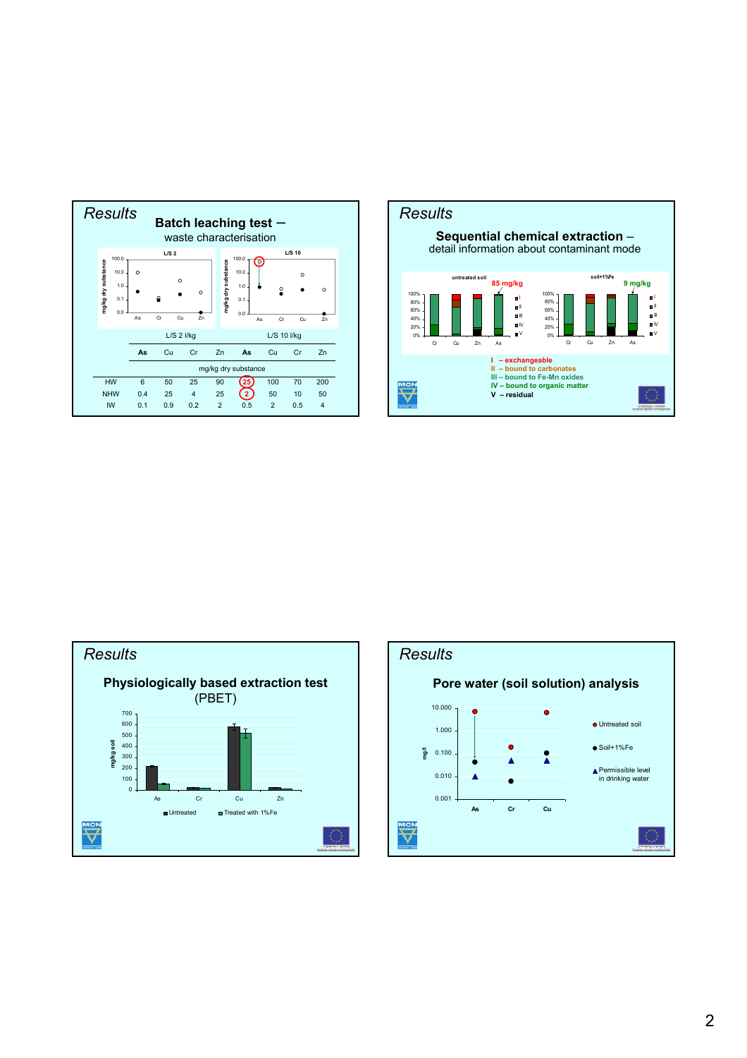





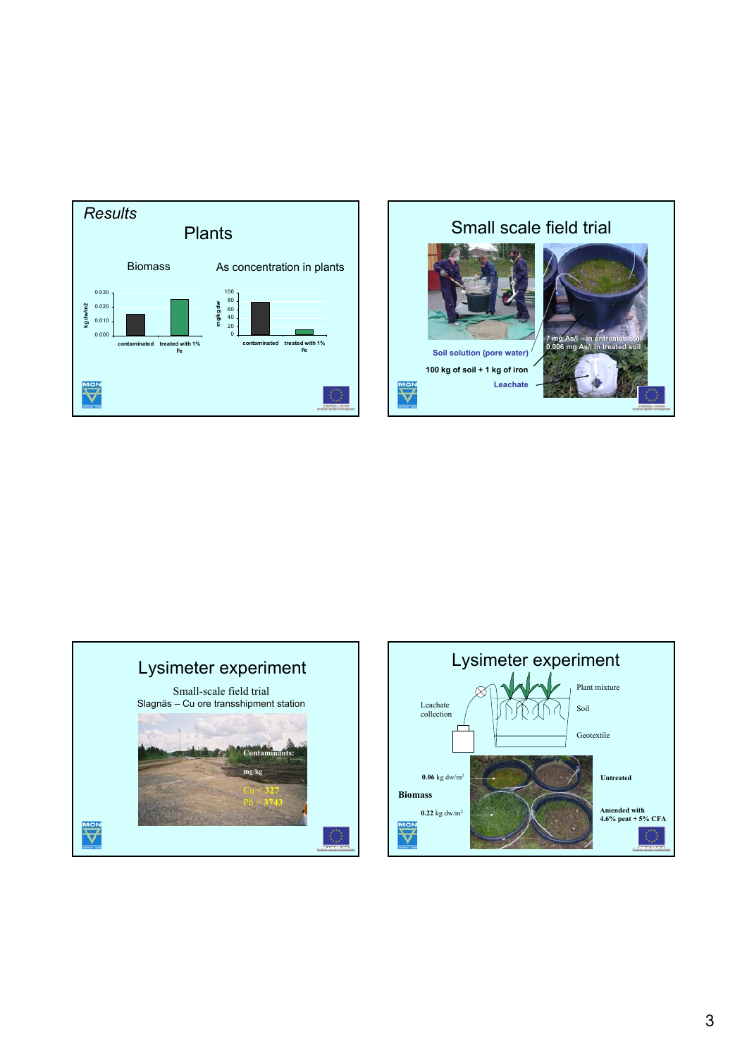